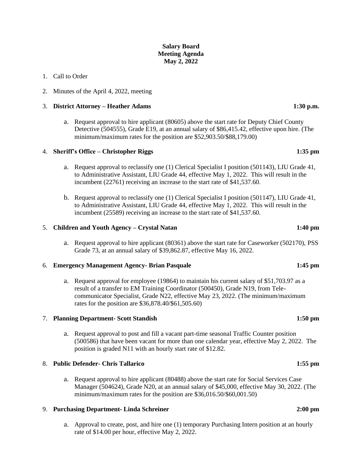# **Salary Board Meeting Agenda May 2, 2022**

## 1. Call to Order

2. Minutes of the April 4, 2022, meeting

### 3. **District Attorney – Heather Adams 1:30 p.m.**

a. Request approval to hire applicant (80605) above the start rate for Deputy Chief County Detective (504555), Grade E19, at an annual salary of \$86,415.42, effective upon hire. (The minimum/maximum rates for the position are \$52,903.50/\$88,179.00)

## 4. **Sheriff's Office – Christopher Riggs 1:35 pm**

- a. Request approval to reclassify one (1) Clerical Specialist I position (501143), LIU Grade 41, to Administrative Assistant, LIU Grade 44, effective May 1, 2022. This will result in the incumbent (22761) receiving an increase to the start rate of \$41,537.60.
- b. Request approval to reclassify one (1) Clerical Specialist I position (501147), LIU Grade 41, to Administrative Assistant, LIU Grade 44, effective May 1, 2022. This will result in the incumbent (25589) receiving an increase to the start rate of \$41,537.60.

### 5. **Children and Youth Agency – Crystal Natan 1:40 pm**

a. Request approval to hire applicant (80361) above the start rate for Caseworker (502170), PSS Grade 73, at an annual salary of \$39,862.87, effective May 16, 2022.

### 6. **Emergency Management Agency- Brian Pasquale 1:45 pm**

a. Request approval for employee (19864) to maintain his current salary of \$51,703.97 as a result of a transfer to EM Training Coordinator (500450), Grade N19, from Telecommunicator Specialist, Grade N22, effective May 23, 2022. (The minimum/maximum rates for the position are \$36,878.40/\$61,505.60)

### 7. **Planning Department- Scott Standish 1:50 pm**

a. Request approval to post and fill a vacant part-time seasonal Traffic Counter position (500586) that have been vacant for more than one calendar year, effective May 2, 2022. The position is graded N11 with an hourly start rate of \$12.82.

## 8. **Public Defender- Chris Tallarico 1:55 pm**

a. Request approval to hire applicant (80488) above the start rate for Social Services Case Manager (504624), Grade N20, at an annual salary of \$45,000, effective May 30, 2022. (The minimum/maximum rates for the position are \$36,016.50/\$60,001.50)

## 9. **Purchasing Department- Linda Schreiner 2:00 pm**

a. Approval to create, post, and hire one (1) temporary Purchasing Intern position at an hourly rate of \$14.00 per hour, effective May 2, 2022.